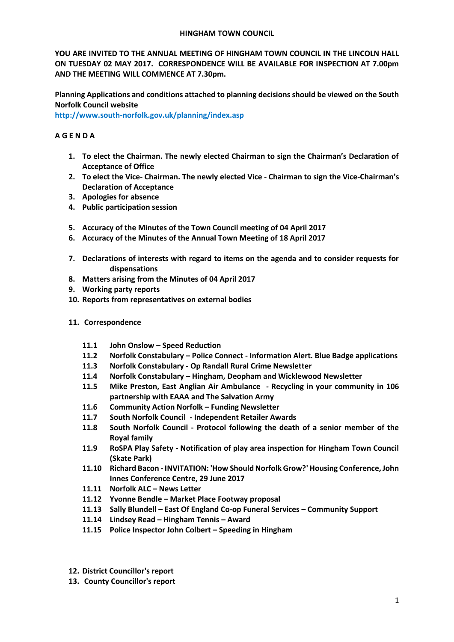#### **HINGHAM TOWN COUNCIL**

**YOU ARE INVITED TO THE ANNUAL MEETING OF HINGHAM TOWN COUNCIL IN THE LINCOLN HALL ON TUESDAY 02 MAY 2017. CORRESPONDENCE WILL BE AVAILABLE FOR INSPECTION AT 7.00pm AND THE MEETING WILL COMMENCE AT 7.30pm.** 

**Planning Applications and conditions attached to planning decisions should be viewed on the South Norfolk Council website** 

**<http://www.south-norfolk.gov.uk/planning/index.asp>**

# **A G E N D A**

- **1. To elect the Chairman. The newly elected Chairman to sign the Chairman's Declaration of Acceptance of Office**
- **2. To elect the Vice- Chairman. The newly elected Vice - Chairman to sign the Vice-Chairman's Declaration of Acceptance**
- **3. Apologies for absence**
- **4. Public participation session**
- **5. Accuracy of the Minutes of the Town Council meeting of 04 April 2017**
- **6. Accuracy of the Minutes of the Annual Town Meeting of 18 April 2017**
- **7. Declarations of interests with regard to items on the agenda and to consider requests for dispensations**
- **8. Matters arising from the Minutes of 04 April 2017**
- **9. Working party reports**
- **10. Reports from representatives on external bodies**
- **11. Correspondence**
	- **11.1 John Onslow – Speed Reduction**
	- **11.2 Norfolk Constabulary – Police Connect - Information Alert. Blue Badge applications**
	- **11.3 Norfolk Constabulary - Op Randall Rural Crime Newsletter**
	- **11.4 Norfolk Constabulary – Hingham, Deopham and Wicklewood Newsletter**
	- **11.5 Mike Preston, East Anglian Air Ambulance - Recycling in your community in 106 partnership with EAAA and The Salvation Army**
	- **11.6 Community Action Norfolk – Funding Newsletter**
	- **11.7 South Norfolk Council - Independent Retailer Awards**
	- **11.8 South Norfolk Council - Protocol following the death of a senior member of the Royal family**
	- **11.9 RoSPA Play Safety - Notification of play area inspection for Hingham Town Council (Skate Park)**
	- **11.10 Richard Bacon - INVITATION: 'How Should Norfolk Grow?' Housing Conference, John Innes Conference Centre, 29 June 2017**
	- **11.11 Norfolk ALC – News Letter**
	- **11.12 Yvonne Bendle – Market Place Footway proposal**
	- **11.13 Sally Blundell – East Of England Co-op Funeral Services – Community Support**
	- **11.14 Lindsey Read – Hingham Tennis – Award**
	- **11.15 Police Inspector John Colbert – Speeding in Hingham**
- **12. District Councillor's report**
- **13. County Councillor's report**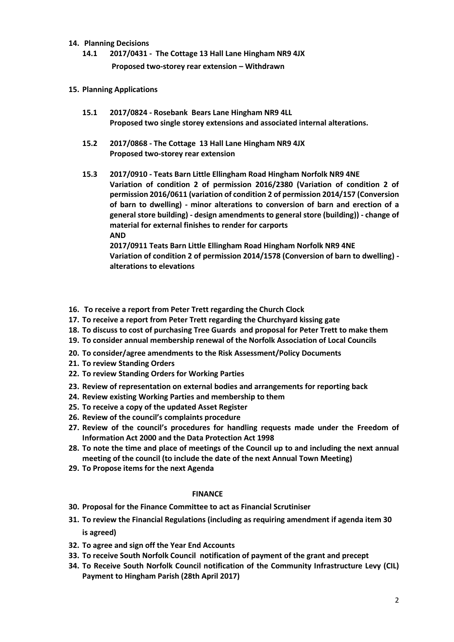### **14. Planning Decisions**

**14.1 2017/0431 - The Cottage 13 Hall Lane Hingham NR9 4JX Proposed two-storey rear extension – Withdrawn** 

## **15. Planning Applications**

- **15.1 2017/0824 - Rosebank Bears Lane Hingham NR9 4LL Proposed two single storey extensions and associated internal alterations.**
- **15.2 2017/0868 - The Cottage 13 Hall Lane Hingham NR9 4JX Proposed two-storey rear extension**
- **15.3 2017/0910 - Teats Barn Little Ellingham Road Hingham Norfolk NR9 4NE Variation of condition 2 of permission 2016/2380 (Variation of condition 2 of permission 2016/0611 (variation of condition 2 of permission 2014/157 (Conversion of barn to dwelling) - minor alterations to conversion of barn and erection of a general store building) - design amendments to general store (building)) - change of material for external finishes to render for carports AND**

**2017/0911 Teats Barn Little Ellingham Road Hingham Norfolk NR9 4NE Variation of condition 2 of permission 2014/1578 (Conversion of barn to dwelling) alterations to elevations**

- **16. To receive a report from Peter Trett regarding the Church Clock**
- **17. To receive a report from Peter Trett regarding the Churchyard kissing gate**
- **18. To discuss to cost of purchasing Tree Guards and proposal for Peter Trett to make them**
- **19. To consider annual membership renewal of the Norfolk Association of Local Councils**
- **20. To consider/agree amendments to the Risk Assessment/Policy Documents**
- **21. To review Standing Orders**
- **22. To review Standing Orders for Working Parties**
- **23. Review of representation on external bodies and arrangements for reporting back**
- **24. Review existing Working Parties and membership to them**
- **25. To receive a copy of the updated Asset Register**
- **26. Review of the council's complaints procedure**
- **27. Review of the council's procedures for handling requests made under the Freedom of Information Act 2000 and the Data Protection Act 1998**
- **28. To note the time and place of meetings of the Council up to and including the next annual meeting of the council (to include the date of the next Annual Town Meeting)**
- **29. To Propose items for the next Agenda**

## **FINANCE**

- **30. Proposal for the Finance Committee to act as Financial Scrutiniser**
- **31. To review the Financial Regulations (including as requiring amendment if agenda item 30 is agreed)**
- **32. To agree and sign off the Year End Accounts**
- **33. To receive South Norfolk Council notification of payment of the grant and precept**
- **34. To Receive South Norfolk Council notification of the Community Infrastructure Levy (CIL) Payment to Hingham Parish (28th April 2017)**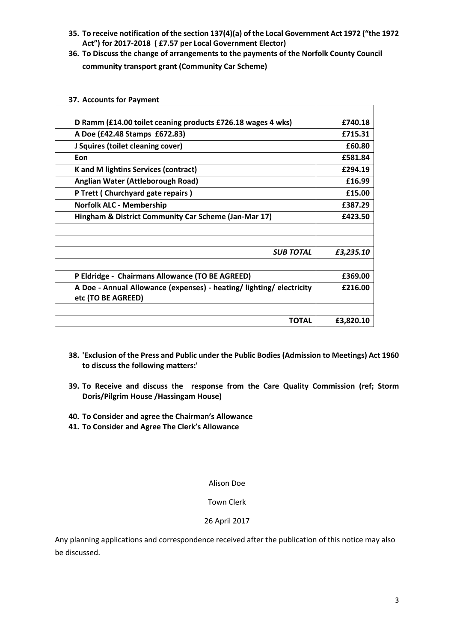- **35. To receive notification of the section 137(4)(a) of the Local Government Act 1972 ("the 1972 Act") for 2017-2018 ( £7.57 per Local Government Elector)**
- **36. To Discuss the change of arrangements to the payments of the Norfolk County Council community transport grant (Community Car Scheme)**

| D Ramm (£14.00 toilet ceaning products £726.18 wages 4 wks)                                | £740.18   |
|--------------------------------------------------------------------------------------------|-----------|
| A Doe (£42.48 Stamps £672.83)                                                              | £715.31   |
| J Squires (toilet cleaning cover)                                                          | £60.80    |
| Eon                                                                                        | £581.84   |
| <b>K</b> and M lightins Services (contract)                                                | £294.19   |
| Anglian Water (Attleborough Road)                                                          | £16.99    |
| P Trett (Churchyard gate repairs)                                                          | £15.00    |
| <b>Norfolk ALC - Membership</b>                                                            | £387.29   |
| Hingham & District Community Car Scheme (Jan-Mar 17)                                       | £423.50   |
|                                                                                            |           |
|                                                                                            |           |
| <b>SUB TOTAL</b>                                                                           | £3,235.10 |
|                                                                                            |           |
| P Eldridge - Chairmans Allowance (TO BE AGREED)                                            | £369.00   |
| A Doe - Annual Allowance (expenses) - heating/ lighting/ electricity<br>etc (TO BE AGREED) | £216.00   |
|                                                                                            |           |
| TOTAL                                                                                      | £3,820.10 |

#### **37. Accounts for Payment**

- **38. 'Exclusion of the Press and Public under the Public Bodies (Admission to Meetings) Act 1960 to discuss the following matters:'**
- **39. To Receive and discuss the response from the Care Quality Commission (ref; Storm Doris/Pilgrim House /Hassingam House)**
- **40. To Consider and agree the Chairman's Allowance**
- **41. To Consider and Agree The Clerk's Allowance**

#### Alison Doe

## Town Clerk

## 26 April 2017

Any planning applications and correspondence received after the publication of this notice may also be discussed.